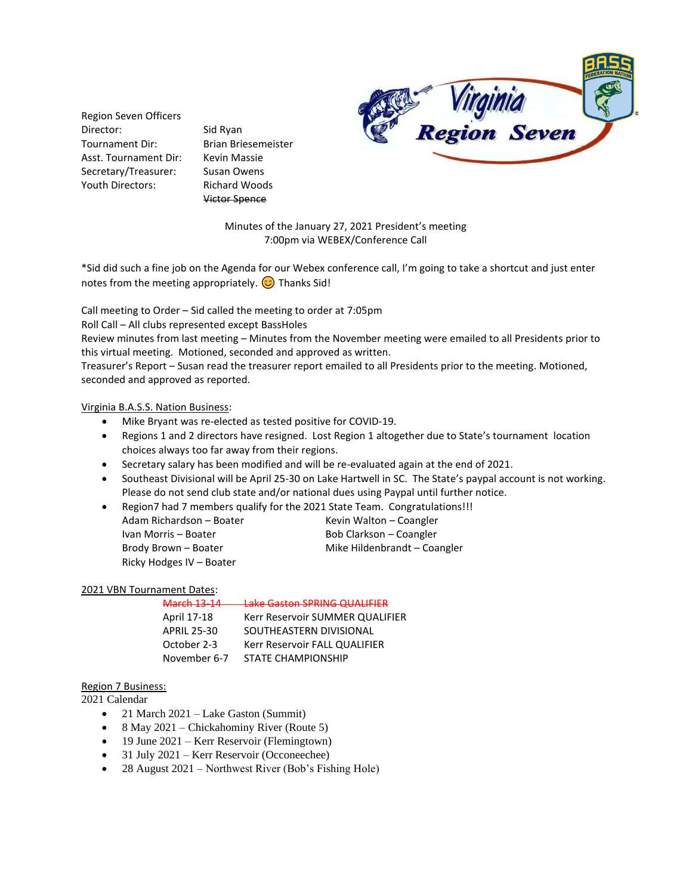

Region Seven Officers Director: Sid Ryan Tournament Dir: Brian Briesemeister Asst. Tournament Dir: Kevin Massie Secretary/Treasurer: Susan Owens Youth Directors: Richard Woods

Victor Spence

Minutes of the January 27, 2021 President's meeting 7:00pm via WEBEX/Conference Call

\*Sid did such a fine job on the Agenda for our Webex conference call, I'm going to take a shortcut and just enter notes from the meeting appropriately.  $\odot$  Thanks Sid!

Call meeting to Order – Sid called the meeting to order at 7:05pm

Roll Call – All clubs represented except BassHoles

Review minutes from last meeting – Minutes from the November meeting were emailed to all Presidents prior to this virtual meeting. Motioned, seconded and approved as written.

Treasurer's Report – Susan read the treasurer report emailed to all Presidents prior to the meeting. Motioned, seconded and approved as reported.

Virginia B.A.S.S. Nation Business:

- Mike Bryant was re-elected as tested positive for COVID-19.
- Regions 1 and 2 directors have resigned. Lost Region 1 altogether due to State's tournament location choices always too far away from their regions.
- Secretary salary has been modified and will be re-evaluated again at the end of 2021.
- Southeast Divisional will be April 25-30 on Lake Hartwell in SC. The State's paypal account is not working. Please do not send club state and/or national dues using Paypal until further notice.
- Region7 had 7 members qualify for the 2021 State Team. Congratulations!!!
- Adam Richardson Boater Kevin Walton Coangler Ivan Morris – Boater Bob Clarkson – Coangler Brody Brown – Boater Mike Hildenbrandt – Coangler Ricky Hodges IV – Boater

### 2021 VBN Tournament Dates:

### March 13-14 Lake Gaston SPRING QUALIFIER

| April 17-18        | Kerr Reservoir SUMMER QUALIFIER |
|--------------------|---------------------------------|
| <b>APRIL 25-30</b> | SOUTHEASTERN DIVISIONAL         |
| October 2-3        | Kerr Reservoir FALL QUALIFIER   |
| November 6-7       | <b>STATE CHAMPIONSHIP</b>       |

### Region 7 Business:

2021 Calendar

- 21 March 2021 Lake Gaston (Summit)
- 8 May 2021 Chickahominy River (Route 5)
- 19 June 2021 Kerr Reservoir (Flemingtown)
- 31 July 2021 Kerr Reservoir (Occoneechee)
- 28 August 2021 Northwest River (Bob's Fishing Hole)